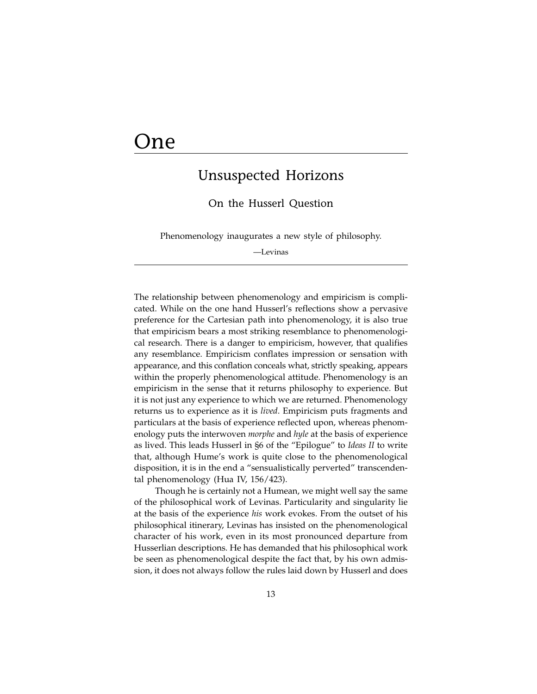# One

# Unsuspected Horizons

On the Husserl Question

Phenomenology inaugurates a new style of philosophy.

—Levinas

The relationship between phenomenology and empiricism is complicated. While on the one hand Husserl's reflections show a pervasive preference for the Cartesian path into phenomenology, it is also true that empiricism bears a most striking resemblance to phenomenological research. There is a danger to empiricism, however, that qualifies any resemblance. Empiricism conflates impression or sensation with appearance, and this conflation conceals what, strictly speaking, appears within the properly phenomenological attitude. Phenomenology is an empiricism in the sense that it returns philosophy to experience. But it is not just any experience to which we are returned. Phenomenology returns us to experience as it is *lived*. Empiricism puts fragments and particulars at the basis of experience reflected upon, whereas phenomenology puts the interwoven *morphe* and *hyle* at the basis of experience as lived. This leads Husserl in §6 of the "Epilogue" to *Ideas II* to write that, although Hume's work is quite close to the phenomenological disposition, it is in the end a "sensualistically perverted" transcendental phenomenology (Hua IV, 156/423).

Though he is certainly not a Humean, we might well say the same of the philosophical work of Levinas. Particularity and singularity lie at the basis of the experience *his* work evokes. From the outset of his philosophical itinerary, Levinas has insisted on the phenomenological character of his work, even in its most pronounced departure from Husserlian descriptions. He has demanded that his philosophical work be seen as phenomenological despite the fact that, by his own admission, it does not always follow the rules laid down by Husserl and does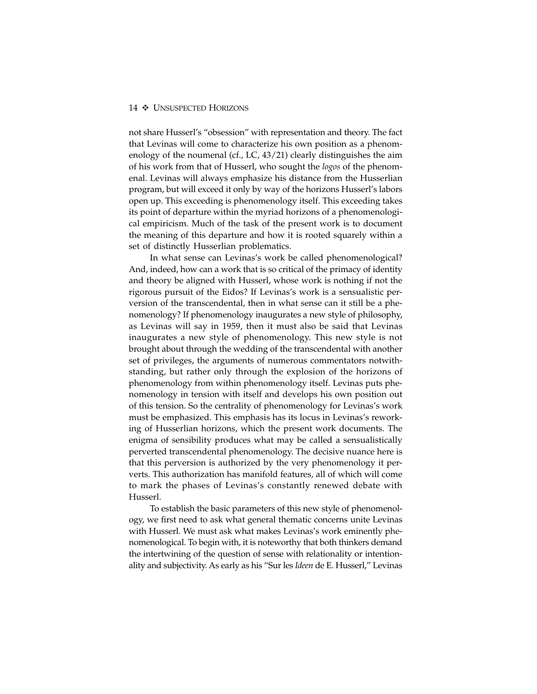not share Husserl's "obsession" with representation and theory. The fact that Levinas will come to characterize his own position as a phenomenology of the noumenal (cf., LC, 43/21) clearly distinguishes the aim of his work from that of Husserl, who sought the *logos* of the phenomenal. Levinas will always emphasize his distance from the Husserlian program, but will exceed it only by way of the horizons Husserl's labors open up. This exceeding is phenomenology itself. This exceeding takes its point of departure within the myriad horizons of a phenomenological empiricism. Much of the task of the present work is to document the meaning of this departure and how it is rooted squarely within a set of distinctly Husserlian problematics.

In what sense can Levinas's work be called phenomenological? And, indeed, how can a work that is so critical of the primacy of identity and theory be aligned with Husserl, whose work is nothing if not the rigorous pursuit of the Eidos? If Levinas's work is a sensualistic perversion of the transcendental, then in what sense can it still be a phenomenology? If phenomenology inaugurates a new style of philosophy, as Levinas will say in 1959, then it must also be said that Levinas inaugurates a new style of phenomenology. This new style is not brought about through the wedding of the transcendental with another set of privileges, the arguments of numerous commentators notwithstanding, but rather only through the explosion of the horizons of phenomenology from within phenomenology itself. Levinas puts phenomenology in tension with itself and develops his own position out of this tension. So the centrality of phenomenology for Levinas's work must be emphasized. This emphasis has its locus in Levinas's reworking of Husserlian horizons, which the present work documents. The enigma of sensibility produces what may be called a sensualistically perverted transcendental phenomenology. The decisive nuance here is that this perversion is authorized by the very phenomenology it perverts. This authorization has manifold features, all of which will come to mark the phases of Levinas's constantly renewed debate with Husserl.

To establish the basic parameters of this new style of phenomenology, we first need to ask what general thematic concerns unite Levinas with Husserl. We must ask what makes Levinas's work eminently phenomenological. To begin with, it is noteworthy that both thinkers demand the intertwining of the question of sense with relationality or intentionality and subjectivity. As early as his "Sur les *Ideen* de E. Husserl," Levinas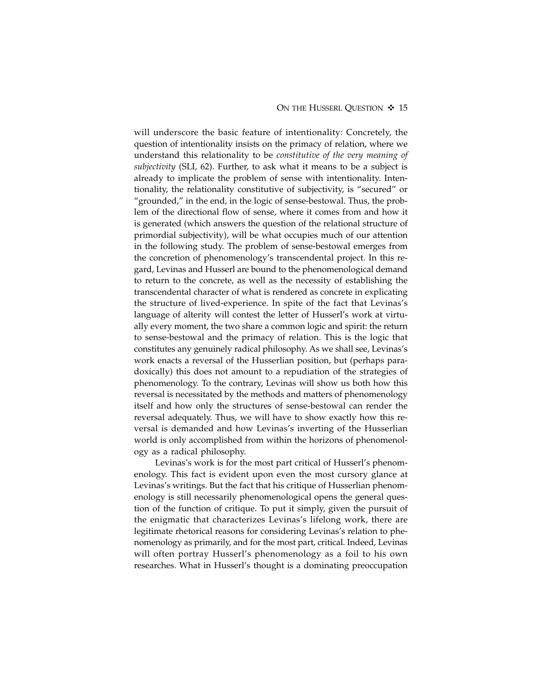will underscore the basic feature of intentionality: Concretely, the question of intentionality insists on the primacy of relation, where we understand this relationality to be *constitutive of the very meaning of subjectivity* (SLI, 62). Further, to ask what it means to be a subject is already to implicate the problem of sense with intentionality. Intentionality, the relationality constitutive of subjectivity, is "secured" or "grounded," in the end, in the logic of sense-bestowal. Thus, the problem of the directional flow of sense, where it comes from and how it is generated (which answers the question of the relational structure of primordial subjectivity), will be what occupies much of our attention in the following study. The problem of sense-bestowal emerges from the concretion of phenomenology's transcendental project. In this regard, Levinas and Husserl are bound to the phenomenological demand to return to the concrete, as well as the necessity of establishing the transcendental character of what is rendered as concrete in explicating the structure of lived-experience. In spite of the fact that Levinas's language of alterity will contest the letter of Husserl's work at virtually every moment, the two share a common logic and spirit: the return to sense-bestowal and the primacy of relation. This is the logic that constitutes any genuinely radical philosophy. As we shall see, Levinas's work enacts a reversal of the Husserlian position, but (perhaps paradoxically) this does not amount to a repudiation of the strategies of phenomenology. To the contrary, Levinas will show us both how this reversal is necessitated by the methods and matters of phenomenology itself and how only the structures of sense-bestowal can render the reversal adequately. Thus, we will have to show exactly how this reversal is demanded and how Levinas's inverting of the Husserlian world is only accomplished from within the horizons of phenomenology as a radical philosophy.

Levinas's work is for the most part critical of Husserl's phenomenology. This fact is evident upon even the most cursory glance at Levinas's writings. But the fact that his critique of Husserlian phenomenology is still necessarily phenomenological opens the general question of the function of critique. To put it simply, given the pursuit of the enigmatic that characterizes Levinas's lifelong work, there are legitimate rhetorical reasons for considering Levinas's relation to phenomenology as primarily, and for the most part, critical. Indeed, Levinas will often portray Husserl's phenomenology as a foil to his own researches. What in Husserl's thought is a dominating preoccupation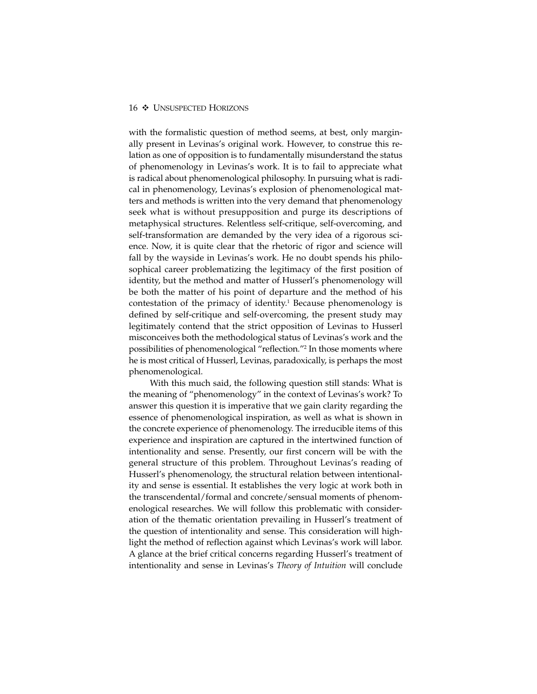# 16  $\div$  UNSUSPECTED HORIZONS

with the formalistic question of method seems, at best, only marginally present in Levinas's original work. However, to construe this relation as one of opposition is to fundamentally misunderstand the status of phenomenology in Levinas's work. It is to fail to appreciate what is radical about phenomenological philosophy. In pursuing what is radical in phenomenology, Levinas's explosion of phenomenological matters and methods is written into the very demand that phenomenology seek what is without presupposition and purge its descriptions of metaphysical structures. Relentless self-critique, self-overcoming, and self-transformation are demanded by the very idea of a rigorous science. Now, it is quite clear that the rhetoric of rigor and science will fall by the wayside in Levinas's work. He no doubt spends his philosophical career problematizing the legitimacy of the first position of identity, but the method and matter of Husserl's phenomenology will be both the matter of his point of departure and the method of his contestation of the primacy of identity.<sup>1</sup> Because phenomenology is defined by self-critique and self-overcoming, the present study may legitimately contend that the strict opposition of Levinas to Husserl misconceives both the methodological status of Levinas's work and the possibilities of phenomenological "reflection."2 In those moments where he is most critical of Husserl, Levinas, paradoxically, is perhaps the most phenomenological.

With this much said, the following question still stands: What is the meaning of "phenomenology" in the context of Levinas's work? To answer this question it is imperative that we gain clarity regarding the essence of phenomenological inspiration, as well as what is shown in the concrete experience of phenomenology. The irreducible items of this experience and inspiration are captured in the intertwined function of intentionality and sense. Presently, our first concern will be with the general structure of this problem. Throughout Levinas's reading of Husserl's phenomenology, the structural relation between intentionality and sense is essential. It establishes the very logic at work both in the transcendental/formal and concrete/sensual moments of phenomenological researches. We will follow this problematic with consideration of the thematic orientation prevailing in Husserl's treatment of the question of intentionality and sense. This consideration will highlight the method of reflection against which Levinas's work will labor. A glance at the brief critical concerns regarding Husserl's treatment of intentionality and sense in Levinas's *Theory of Intuition* will conclude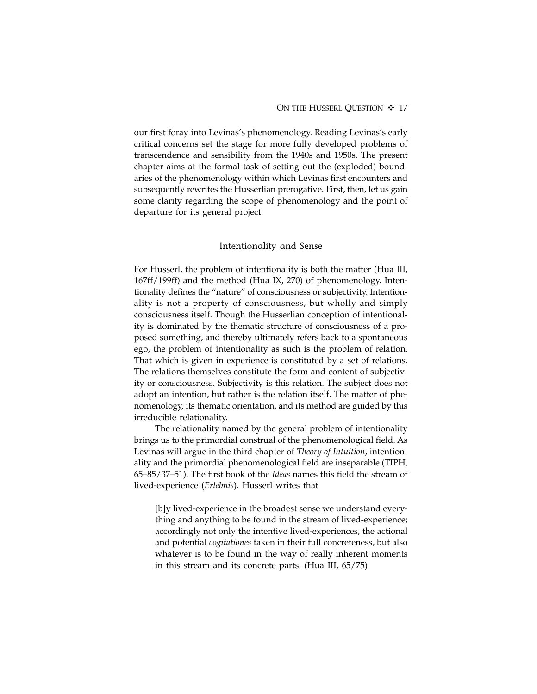our first foray into Levinas's phenomenology. Reading Levinas's early critical concerns set the stage for more fully developed problems of transcendence and sensibility from the 1940s and 1950s. The present chapter aims at the formal task of setting out the (exploded) boundaries of the phenomenology within which Levinas first encounters and subsequently rewrites the Husserlian prerogative. First, then, let us gain some clarity regarding the scope of phenomenology and the point of departure for its general project.

# Intentionality and Sense

For Husserl, the problem of intentionality is both the matter (Hua III, 167ff/199ff) and the method (Hua IX, 270) of phenomenology. Intentionality defines the "nature" of consciousness or subjectivity. Intentionality is not a property of consciousness, but wholly and simply consciousness itself. Though the Husserlian conception of intentionality is dominated by the thematic structure of consciousness of a proposed something, and thereby ultimately refers back to a spontaneous ego, the problem of intentionality as such is the problem of relation. That which is given in experience is constituted by a set of relations. The relations themselves constitute the form and content of subjectivity or consciousness. Subjectivity is this relation. The subject does not adopt an intention, but rather is the relation itself. The matter of phenomenology, its thematic orientation, and its method are guided by this irreducible relationality.

The relationality named by the general problem of intentionality brings us to the primordial construal of the phenomenological field. As Levinas will argue in the third chapter of *Theory of Intuition*, intentionality and the primordial phenomenological field are inseparable (TIPH, 65–85/37–51). The first book of the *Ideas* names this field the stream of lived-experience (*Erlebnis*)*.* Husserl writes that

[b]y lived-experience in the broadest sense we understand everything and anything to be found in the stream of lived-experience; accordingly not only the intentive lived-experiences, the actional and potential *cogitationes* taken in their full concreteness, but also whatever is to be found in the way of really inherent moments in this stream and its concrete parts. (Hua III, 65/75)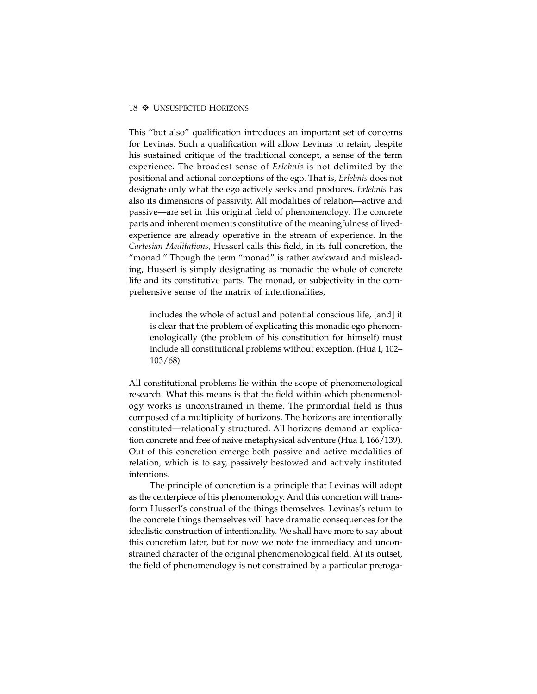This "but also" qualification introduces an important set of concerns for Levinas. Such a qualification will allow Levinas to retain, despite his sustained critique of the traditional concept, a sense of the term experience. The broadest sense of *Erlebnis* is not delimited by the positional and actional conceptions of the ego. That is, *Erlebnis* does not designate only what the ego actively seeks and produces. *Erlebnis* has also its dimensions of passivity. All modalities of relation—active and passive—are set in this original field of phenomenology. The concrete parts and inherent moments constitutive of the meaningfulness of livedexperience are already operative in the stream of experience. In the *Cartesian Meditations*, Husserl calls this field, in its full concretion, the "monad." Though the term "monad" is rather awkward and misleading, Husserl is simply designating as monadic the whole of concrete life and its constitutive parts. The monad, or subjectivity in the comprehensive sense of the matrix of intentionalities,

includes the whole of actual and potential conscious life, [and] it is clear that the problem of explicating this monadic ego phenomenologically (the problem of his constitution for himself) must include all constitutional problems without exception. (Hua I, 102– 103/68)

All constitutional problems lie within the scope of phenomenological research. What this means is that the field within which phenomenology works is unconstrained in theme. The primordial field is thus composed of a multiplicity of horizons. The horizons are intentionally constituted—relationally structured. All horizons demand an explication concrete and free of naive metaphysical adventure (Hua I, 166/139). Out of this concretion emerge both passive and active modalities of relation, which is to say, passively bestowed and actively instituted intentions.

The principle of concretion is a principle that Levinas will adopt as the centerpiece of his phenomenology. And this concretion will transform Husserl's construal of the things themselves. Levinas's return to the concrete things themselves will have dramatic consequences for the idealistic construction of intentionality. We shall have more to say about this concretion later, but for now we note the immediacy and unconstrained character of the original phenomenological field. At its outset, the field of phenomenology is not constrained by a particular preroga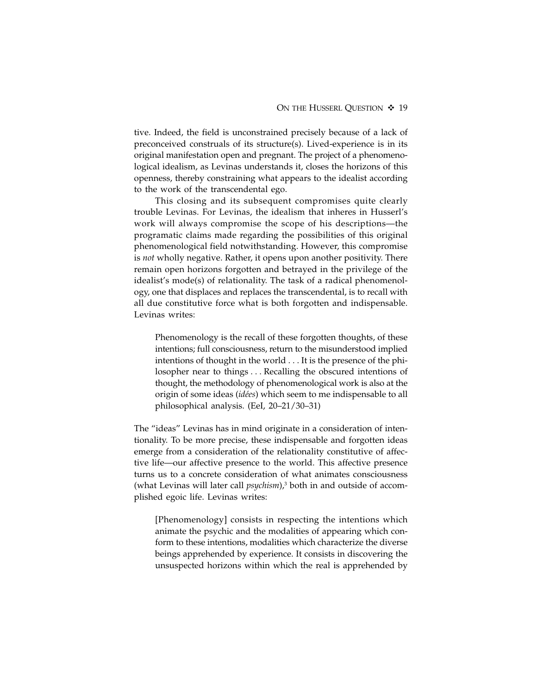tive. Indeed, the field is unconstrained precisely because of a lack of preconceived construals of its structure(s). Lived-experience is in its original manifestation open and pregnant. The project of a phenomenological idealism, as Levinas understands it, closes the horizons of this openness, thereby constraining what appears to the idealist according to the work of the transcendental ego.

This closing and its subsequent compromises quite clearly trouble Levinas. For Levinas, the idealism that inheres in Husserl's work will always compromise the scope of his descriptions—the programatic claims made regarding the possibilities of this original phenomenological field notwithstanding. However, this compromise is *not* wholly negative. Rather, it opens upon another positivity. There remain open horizons forgotten and betrayed in the privilege of the idealist's mode(s) of relationality. The task of a radical phenomenology, one that displaces and replaces the transcendental, is to recall with all due constitutive force what is both forgotten and indispensable. Levinas writes:

Phenomenology is the recall of these forgotten thoughts, of these intentions; full consciousness, return to the misunderstood implied intentions of thought in the world . . . It is the presence of the philosopher near to things . . . Recalling the obscured intentions of thought, the methodology of phenomenological work is also at the origin of some ideas (*idées*) which seem to me indispensable to all philosophical analysis. (EeI, 20–21/30–31)

The "ideas" Levinas has in mind originate in a consideration of intentionality. To be more precise, these indispensable and forgotten ideas emerge from a consideration of the relationality constitutive of affective life—our affective presence to the world. This affective presence turns us to a concrete consideration of what animates consciousness (what Levinas will later call *psychism*),<sup>3</sup> both in and outside of accomplished egoic life. Levinas writes:

[Phenomenology] consists in respecting the intentions which animate the psychic and the modalities of appearing which conform to these intentions, modalities which characterize the diverse beings apprehended by experience. It consists in discovering the unsuspected horizons within which the real is apprehended by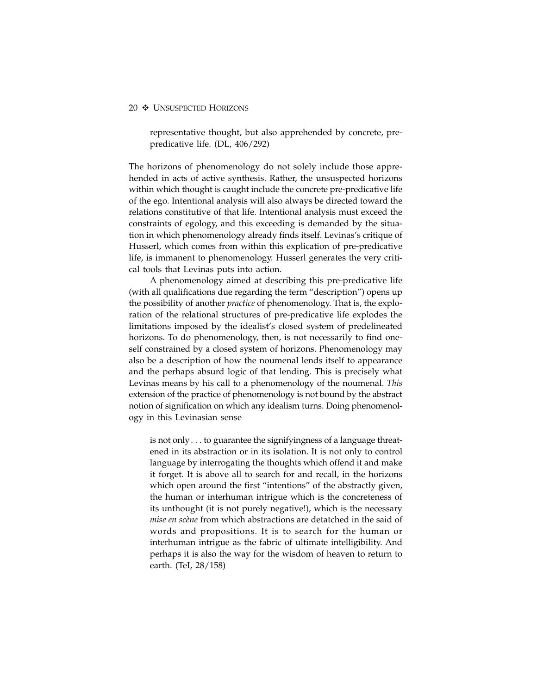representative thought, but also apprehended by concrete, prepredicative life. (DL, 406/292)

The horizons of phenomenology do not solely include those apprehended in acts of active synthesis. Rather, the unsuspected horizons within which thought is caught include the concrete pre-predicative life of the ego. Intentional analysis will also always be directed toward the relations constitutive of that life. Intentional analysis must exceed the constraints of egology, and this exceeding is demanded by the situation in which phenomenology already finds itself. Levinas's critique of Husserl, which comes from within this explication of pre-predicative life, is immanent to phenomenology. Husserl generates the very critical tools that Levinas puts into action.

A phenomenology aimed at describing this pre-predicative life (with all qualifications due regarding the term "description") opens up the possibility of another *practice* of phenomenology. That is, the exploration of the relational structures of pre-predicative life explodes the limitations imposed by the idealist's closed system of predelineated horizons. To do phenomenology, then, is not necessarily to find oneself constrained by a closed system of horizons. Phenomenology may also be a description of how the noumenal lends itself to appearance and the perhaps absurd logic of that lending. This is precisely what Levinas means by his call to a phenomenology of the noumenal. *This* extension of the practice of phenomenology is not bound by the abstract notion of signification on which any idealism turns. Doing phenomenology in this Levinasian sense

is not only . . . to guarantee the signifyingness of a language threatened in its abstraction or in its isolation. It is not only to control language by interrogating the thoughts which offend it and make it forget. It is above all to search for and recall, in the horizons which open around the first "intentions" of the abstractly given, the human or interhuman intrigue which is the concreteness of its unthought (it is not purely negative!), which is the necessary *mise en scène* from which abstractions are detatched in the said of words and propositions. It is to search for the human or interhuman intrigue as the fabric of ultimate intelligibility. And perhaps it is also the way for the wisdom of heaven to return to earth. (TeI, 28/158)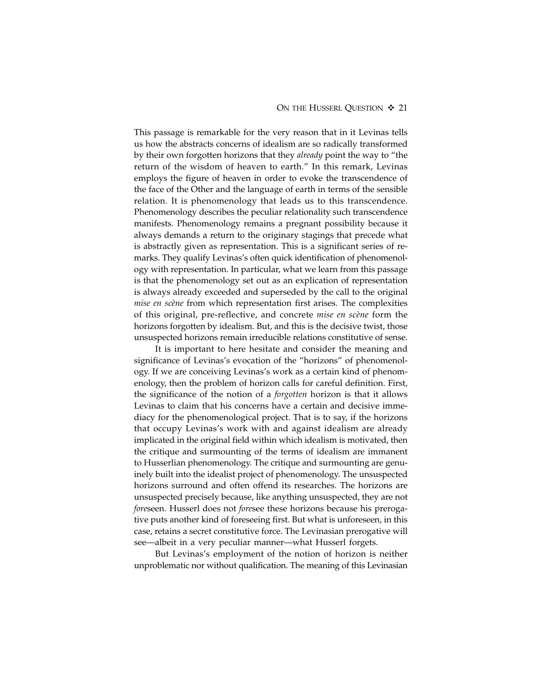#### ON THE HUSSERL QUESTION ❖ 21

This passage is remarkable for the very reason that in it Levinas tells us how the abstracts concerns of idealism are so radically transformed by their own forgotten horizons that they *already* point the way to "the return of the wisdom of heaven to earth." In this remark, Levinas employs the figure of heaven in order to evoke the transcendence of the face of the Other and the language of earth in terms of the sensible relation. It is phenomenology that leads us to this transcendence. Phenomenology describes the peculiar relationality such transcendence manifests. Phenomenology remains a pregnant possibility because it always demands a return to the originary stagings that precede what is abstractly given as representation. This is a significant series of remarks. They qualify Levinas's often quick identification of phenomenology with representation. In particular, what we learn from this passage is that the phenomenology set out as an explication of representation is always already exceeded and superseded by the call to the original *mise en scène* from which representation first arises. The complexities of this original, pre-reflective, and concrete *mise en scène* form the horizons forgotten by idealism. But, and this is the decisive twist, those unsuspected horizons remain irreducible relations constitutive of sense.

It is important to here hesitate and consider the meaning and significance of Levinas's evocation of the "horizons" of phenomenology. If we are conceiving Levinas's work as a certain kind of phenomenology, then the problem of horizon calls for careful definition. First, the significance of the notion of a *forgotten* horizon is that it allows Levinas to claim that his concerns have a certain and decisive immediacy for the phenomenological project. That is to say, if the horizons that occupy Levinas's work with and against idealism are already implicated in the original field within which idealism is motivated, then the critique and surmounting of the terms of idealism are immanent to Husserlian phenomenology. The critique and surmounting are genuinely built into the idealist project of phenomenology. The unsuspected horizons surround and often offend its researches. The horizons are unsuspected precisely because, like anything unsuspected, they are not *fore*seen. Husserl does not *fore*see these horizons because his prerogative puts another kind of foreseeing first. But what is unforeseen, in this case, retains a secret constitutive force. The Levinasian prerogative will see—albeit in a very peculiar manner—what Husserl forgets.

But Levinas's employment of the notion of horizon is neither unproblematic nor without qualification. The meaning of this Levinasian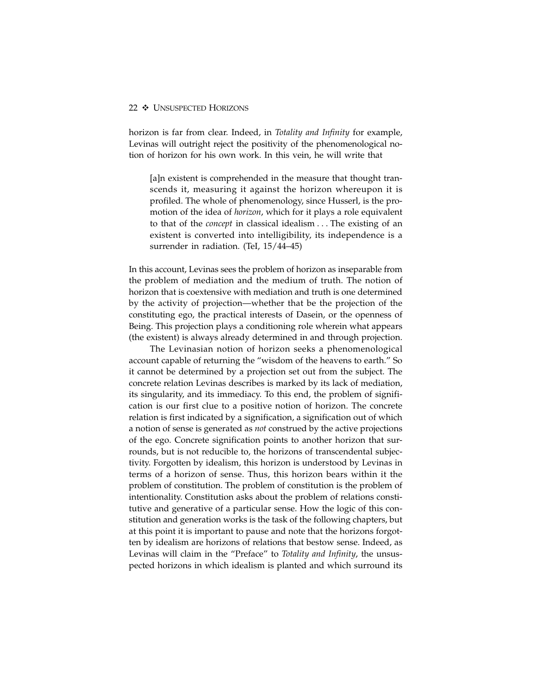horizon is far from clear. Indeed, in *Totality and Infinity* for example, Levinas will outright reject the positivity of the phenomenological notion of horizon for his own work. In this vein, he will write that

[a]n existent is comprehended in the measure that thought transcends it, measuring it against the horizon whereupon it is profiled. The whole of phenomenology, since Husserl, is the promotion of the idea of *horizon*, which for it plays a role equivalent to that of the *concept* in classical idealism . . . The existing of an existent is converted into intelligibility, its independence is a surrender in radiation. (TeI, 15/44–45)

In this account, Levinas sees the problem of horizon as inseparable from the problem of mediation and the medium of truth. The notion of horizon that is coextensive with mediation and truth is one determined by the activity of projection—whether that be the projection of the constituting ego, the practical interests of Dasein, or the openness of Being. This projection plays a conditioning role wherein what appears (the existent) is always already determined in and through projection.

The Levinasian notion of horizon seeks a phenomenological account capable of returning the "wisdom of the heavens to earth." So it cannot be determined by a projection set out from the subject. The concrete relation Levinas describes is marked by its lack of mediation, its singularity, and its immediacy. To this end, the problem of signification is our first clue to a positive notion of horizon. The concrete relation is first indicated by a signification, a signification out of which a notion of sense is generated as *not* construed by the active projections of the ego. Concrete signification points to another horizon that surrounds, but is not reducible to, the horizons of transcendental subjectivity. Forgotten by idealism, this horizon is understood by Levinas in terms of a horizon of sense. Thus, this horizon bears within it the problem of constitution. The problem of constitution is the problem of intentionality. Constitution asks about the problem of relations constitutive and generative of a particular sense. How the logic of this constitution and generation works is the task of the following chapters, but at this point it is important to pause and note that the horizons forgotten by idealism are horizons of relations that bestow sense. Indeed, as Levinas will claim in the "Preface" to *Totality and Infinity*, the unsuspected horizons in which idealism is planted and which surround its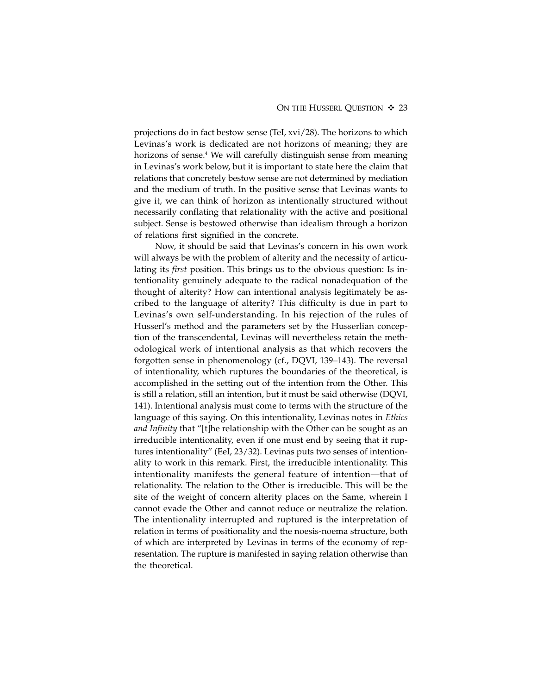projections do in fact bestow sense (TeI, xvi/28). The horizons to which Levinas's work is dedicated are not horizons of meaning; they are horizons of sense.4 We will carefully distinguish sense from meaning in Levinas's work below, but it is important to state here the claim that relations that concretely bestow sense are not determined by mediation and the medium of truth. In the positive sense that Levinas wants to give it, we can think of horizon as intentionally structured without necessarily conflating that relationality with the active and positional subject. Sense is bestowed otherwise than idealism through a horizon of relations first signified in the concrete.

Now, it should be said that Levinas's concern in his own work will always be with the problem of alterity and the necessity of articulating its *first* position. This brings us to the obvious question: Is intentionality genuinely adequate to the radical nonadequation of the thought of alterity? How can intentional analysis legitimately be ascribed to the language of alterity? This difficulty is due in part to Levinas's own self-understanding. In his rejection of the rules of Husserl's method and the parameters set by the Husserlian conception of the transcendental, Levinas will nevertheless retain the methodological work of intentional analysis as that which recovers the forgotten sense in phenomenology (cf., DQVI, 139–143). The reversal of intentionality, which ruptures the boundaries of the theoretical, is accomplished in the setting out of the intention from the Other. This is still a relation, still an intention, but it must be said otherwise (DQVI, 141). Intentional analysis must come to terms with the structure of the language of this saying. On this intentionality, Levinas notes in *Ethics and Infinity* that "[t]he relationship with the Other can be sought as an irreducible intentionality, even if one must end by seeing that it ruptures intentionality" (EeI, 23/32). Levinas puts two senses of intentionality to work in this remark. First, the irreducible intentionality. This intentionality manifests the general feature of intention—that of relationality. The relation to the Other is irreducible. This will be the site of the weight of concern alterity places on the Same, wherein I cannot evade the Other and cannot reduce or neutralize the relation. The intentionality interrupted and ruptured is the interpretation of relation in terms of positionality and the noesis-noema structure, both of which are interpreted by Levinas in terms of the economy of representation. The rupture is manifested in saying relation otherwise than the theoretical.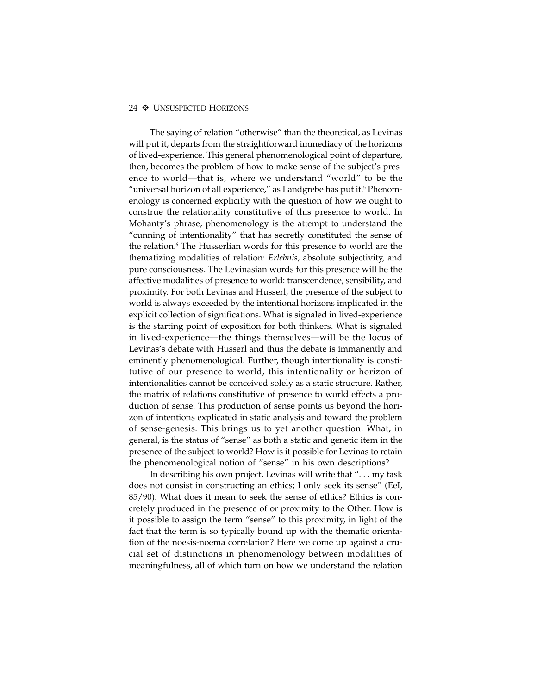The saying of relation "otherwise" than the theoretical, as Levinas will put it, departs from the straightforward immediacy of the horizons of lived-experience. This general phenomenological point of departure, then, becomes the problem of how to make sense of the subject's presence to world—that is, where we understand "world" to be the "universal horizon of all experience," as Landgrebe has put it. $^5$  Phenomenology is concerned explicitly with the question of how we ought to construe the relationality constitutive of this presence to world. In Mohanty's phrase, phenomenology is the attempt to understand the "cunning of intentionality" that has secretly constituted the sense of the relation.<sup>6</sup> The Husserlian words for this presence to world are the thematizing modalities of relation: *Erlebnis*, absolute subjectivity, and pure consciousness. The Levinasian words for this presence will be the affective modalities of presence to world: transcendence, sensibility, and proximity. For both Levinas and Husserl, the presence of the subject to world is always exceeded by the intentional horizons implicated in the explicit collection of significations. What is signaled in lived-experience is the starting point of exposition for both thinkers. What is signaled in lived-experience—the things themselves—will be the locus of Levinas's debate with Husserl and thus the debate is immanently and eminently phenomenological. Further, though intentionality is constitutive of our presence to world, this intentionality or horizon of intentionalities cannot be conceived solely as a static structure. Rather, the matrix of relations constitutive of presence to world effects a production of sense. This production of sense points us beyond the horizon of intentions explicated in static analysis and toward the problem of sense-genesis. This brings us to yet another question: What, in general, is the status of "sense" as both a static and genetic item in the presence of the subject to world? How is it possible for Levinas to retain the phenomenological notion of "sense" in his own descriptions?

In describing his own project, Levinas will write that ". . . my task does not consist in constructing an ethics; I only seek its sense" (EeI, 85/90). What does it mean to seek the sense of ethics? Ethics is concretely produced in the presence of or proximity to the Other. How is it possible to assign the term "sense" to this proximity, in light of the fact that the term is so typically bound up with the thematic orientation of the noesis-noema correlation? Here we come up against a crucial set of distinctions in phenomenology between modalities of meaningfulness, all of which turn on how we understand the relation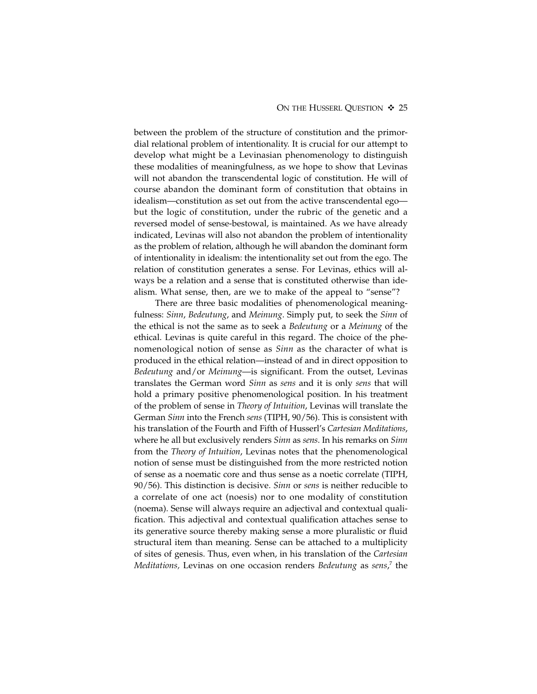between the problem of the structure of constitution and the primordial relational problem of intentionality. It is crucial for our attempt to develop what might be a Levinasian phenomenology to distinguish these modalities of meaningfulness, as we hope to show that Levinas will not abandon the transcendental logic of constitution. He will of course abandon the dominant form of constitution that obtains in idealism—constitution as set out from the active transcendental ego but the logic of constitution, under the rubric of the genetic and a reversed model of sense-bestowal, is maintained. As we have already indicated, Levinas will also not abandon the problem of intentionality as the problem of relation, although he will abandon the dominant form of intentionality in idealism: the intentionality set out from the ego. The relation of constitution generates a sense. For Levinas, ethics will always be a relation and a sense that is constituted otherwise than idealism. What sense, then, are we to make of the appeal to "sense"?

There are three basic modalities of phenomenological meaningfulness: *Sinn*, *Bedeutung*, and *Meinung*. Simply put, to seek the *Sinn* of the ethical is not the same as to seek a *Bedeutung* or a *Meinung* of the ethical. Levinas is quite careful in this regard. The choice of the phenomenological notion of sense as *Sinn* as the character of what is produced in the ethical relation—instead of and in direct opposition to *Bedeutung* and/or *Meinung*—is significant. From the outset, Levinas translates the German word *Sinn* as *sens* and it is only *sens* that will hold a primary positive phenomenological position. In his treatment of the problem of sense in *Theory of Intuition*, Levinas will translate the German *Sinn* into the French *sens* (TIPH, 90/56). This is consistent with his translation of the Fourth and Fifth of Husserl's *Cartesian Meditations*, where he all but exclusively renders *Sinn* as *sens*. In his remarks on *Sinn* from the *Theory of Intuition*, Levinas notes that the phenomenological notion of sense must be distinguished from the more restricted notion of sense as a noematic core and thus sense as a noetic correlate (TIPH, 90/56). This distinction is decisive. *Sinn* or *sens* is neither reducible to a correlate of one act (noesis) nor to one modality of constitution (noema). Sense will always require an adjectival and contextual qualification. This adjectival and contextual qualification attaches sense to its generative source thereby making sense a more pluralistic or fluid structural item than meaning. Sense can be attached to a multiplicity of sites of genesis. Thus, even when, in his translation of the *Cartesian Meditations,* Levinas on one occasion renders *Bedeutung* as *sens*, 7 the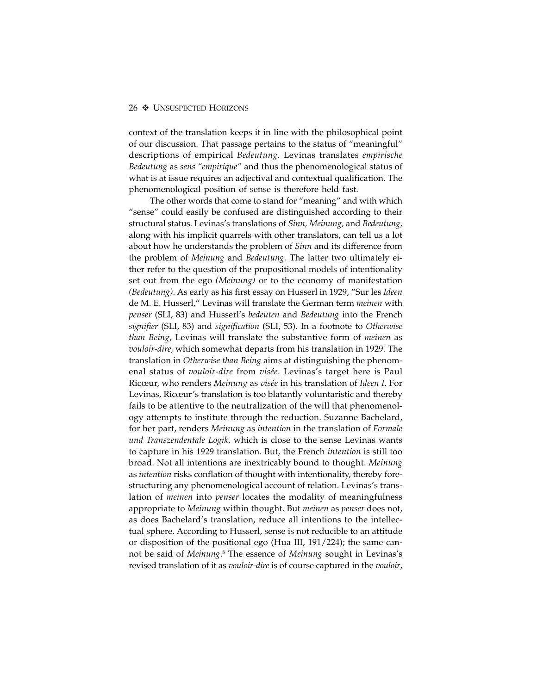context of the translation keeps it in line with the philosophical point of our discussion. That passage pertains to the status of "meaningful" descriptions of empirical *Bedeutung.* Levinas translates *empirische Bedeutung* as *sens "empirique"* and thus the phenomenological status of what is at issue requires an adjectival and contextual qualification. The phenomenological position of sense is therefore held fast.

The other words that come to stand for "meaning" and with which "sense" could easily be confused are distinguished according to their structural status. Levinas's translations of *Sinn, Meinung,* and *Bedeutung,* along with his implicit quarrels with other translators, can tell us a lot about how he understands the problem of *Sinn* and its difference from the problem of *Meinung* and *Bedeutung.* The latter two ultimately either refer to the question of the propositional models of intentionality set out from the ego *(Meinung)* or to the economy of manifestation *(Bedeutung)*. As early as his first essay on Husserl in 1929, "Sur les *Ideen* de M. E. Husserl," Levinas will translate the German term *meinen* with *penser* (SLI, 83) and Husserl's *bedeuten* and *Bedeutung* into the French *signifier* (SLI, 83) and *signification* (SLI, 53). In a footnote to *Otherwise than Being*, Levinas will translate the substantive form of *meinen* as *vouloir-dire,* which somewhat departs from his translation in 1929. The translation in *Otherwise than Being* aims at distinguishing the phenomenal status of *vouloir-dire* from *visée*. Levinas's target here is Paul Ricœur, who renders *Meinung* as *visée* in his translation of *Ideen I*. For Levinas, Ricœur's translation is too blatantly voluntaristic and thereby fails to be attentive to the neutralization of the will that phenomenology attempts to institute through the reduction. Suzanne Bachelard, for her part, renders *Meinung* as *intention* in the translation of *Formale und Transzendentale Logik*, which is close to the sense Levinas wants to capture in his 1929 translation. But, the French *intention* is still too broad. Not all intentions are inextricably bound to thought. *Meinung* as *intention* risks conflation of thought with intentionality, thereby forestructuring any phenomenological account of relation. Levinas's translation of *meinen* into *penser* locates the modality of meaningfulness appropriate to *Meinung* within thought. But *meinen* as *penser* does not, as does Bachelard's translation, reduce all intentions to the intellectual sphere. According to Husserl, sense is not reducible to an attitude or disposition of the positional ego (Hua III, 191/224); the same cannot be said of *Meinung*.<sup>8</sup> The essence of *Meinung* sought in Levinas's revised translation of it as *vouloir-dire* is of course captured in the *vouloir*,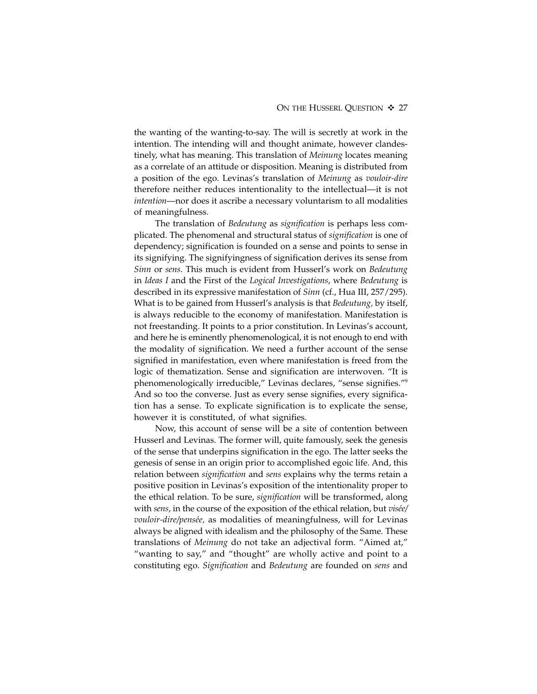the wanting of the wanting-to-say. The will is secretly at work in the intention. The intending will and thought animate, however clandestinely, what has meaning. This translation of *Meinung* locates meaning as a correlate of an attitude or disposition. Meaning is distributed from a position of the ego. Levinas's translation of *Meinung* as *vouloir-dire* therefore neither reduces intentionality to the intellectual—it is not *intention*—nor does it ascribe a necessary voluntarism to all modalities of meaningfulness.

The translation of *Bedeutung* as *signification* is perhaps less complicated. The phenomenal and structural status of *signification* is one of dependency; signification is founded on a sense and points to sense in its signifying. The signifyingness of signification derives its sense from *Sinn* or *sens*. This much is evident from Husserl's work on *Bedeutung* in *Ideas I* and the First of the *Logical Investigations*, where *Bedeutung* is described in its expressive manifestation of *Sinn* (cf., Hua III, 257/295). What is to be gained from Husserl's analysis is that *Bedeutung,* by itself, is always reducible to the economy of manifestation. Manifestation is not freestanding. It points to a prior constitution. In Levinas's account, and here he is eminently phenomenological, it is not enough to end with the modality of signification. We need a further account of the sense signified in manifestation, even where manifestation is freed from the logic of thematization. Sense and signification are interwoven. "It is phenomenologically irreducible," Levinas declares, "sense signifies."9 And so too the converse. Just as every sense signifies, every signification has a sense. To explicate signification is to explicate the sense, however it is constituted, of what signifies.

Now, this account of sense will be a site of contention between Husserl and Levinas. The former will, quite famously, seek the genesis of the sense that underpins signification in the ego. The latter seeks the genesis of sense in an origin prior to accomplished egoic life. And, this relation between *signification* and *sens* explains why the terms retain a positive position in Levinas's exposition of the intentionality proper to the ethical relation. To be sure, *signification* will be transformed, along with *sens*, in the course of the exposition of the ethical relation, but *visée/ vouloir-dire/pensée,* as modalities of meaningfulness, will for Levinas always be aligned with idealism and the philosophy of the Same. These translations of *Meinung* do not take an adjectival form. "Aimed at," "wanting to say," and "thought" are wholly active and point to a constituting ego. *Signification* and *Bedeutung* are founded on *sens* and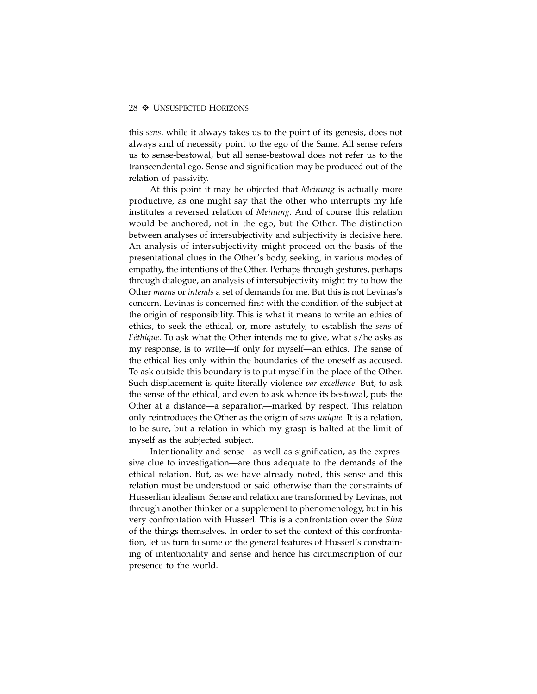this *sens*, while it always takes us to the point of its genesis, does not always and of necessity point to the ego of the Same. All sense refers us to sense-bestowal, but all sense-bestowal does not refer us to the transcendental ego. Sense and signification may be produced out of the relation of passivity.

At this point it may be objected that *Meinung* is actually more productive, as one might say that the other who interrupts my life institutes a reversed relation of *Meinung.* And of course this relation would be anchored, not in the ego, but the Other. The distinction between analyses of intersubjectivity and subjectivity is decisive here. An analysis of intersubjectivity might proceed on the basis of the presentational clues in the Other's body, seeking, in various modes of empathy, the intentions of the Other. Perhaps through gestures, perhaps through dialogue, an analysis of intersubjectivity might try to how the Other *means* or *intends* a set of demands for me. But this is not Levinas's concern. Levinas is concerned first with the condition of the subject at the origin of responsibility. This is what it means to write an ethics of ethics, to seek the ethical, or, more astutely, to establish the *sens* of *l'éthique.* To ask what the Other intends me to give, what s/he asks as my response, is to write—if only for myself—an ethics. The sense of the ethical lies only within the boundaries of the oneself as accused. To ask outside this boundary is to put myself in the place of the Other. Such displacement is quite literally violence *par excellence.* But, to ask the sense of the ethical, and even to ask whence its bestowal, puts the Other at a distance—a separation—marked by respect. This relation only reintroduces the Other as the origin of *sens unique.* It is a relation, to be sure, but a relation in which my grasp is halted at the limit of myself as the subjected subject.

Intentionality and sense—as well as signification, as the expressive clue to investigation—are thus adequate to the demands of the ethical relation. But, as we have already noted, this sense and this relation must be understood or said otherwise than the constraints of Husserlian idealism. Sense and relation are transformed by Levinas, not through another thinker or a supplement to phenomenology, but in his very confrontation with Husserl. This is a confrontation over the *Sinn* of the things themselves. In order to set the context of this confrontation, let us turn to some of the general features of Husserl's constraining of intentionality and sense and hence his circumscription of our presence to the world.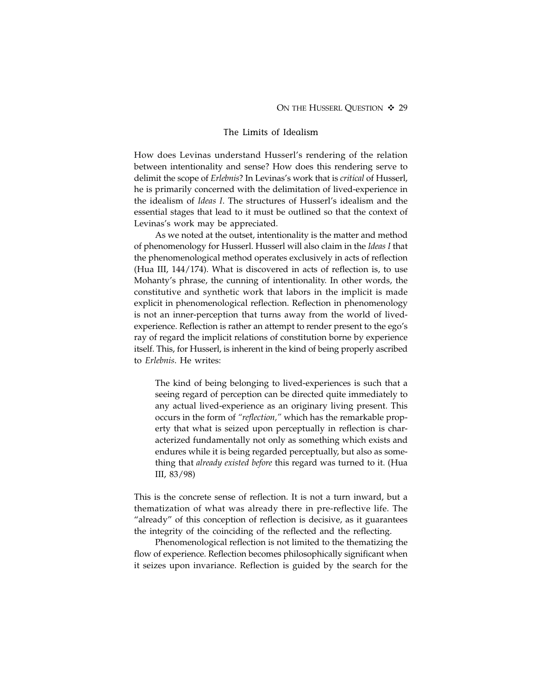# The Limits of Idealism

How does Levinas understand Husserl's rendering of the relation between intentionality and sense? How does this rendering serve to delimit the scope of *Erlebnis*? In Levinas's work that is *critical* of Husserl, he is primarily concerned with the delimitation of lived-experience in the idealism of *Ideas I*. The structures of Husserl's idealism and the essential stages that lead to it must be outlined so that the context of Levinas's work may be appreciated.

As we noted at the outset, intentionality is the matter and method of phenomenology for Husserl. Husserl will also claim in the *Ideas I* that the phenomenological method operates exclusively in acts of reflection (Hua III, 144/174). What is discovered in acts of reflection is, to use Mohanty's phrase, the cunning of intentionality. In other words, the constitutive and synthetic work that labors in the implicit is made explicit in phenomenological reflection. Reflection in phenomenology is not an inner-perception that turns away from the world of livedexperience. Reflection is rather an attempt to render present to the ego's ray of regard the implicit relations of constitution borne by experience itself. This, for Husserl, is inherent in the kind of being properly ascribed to *Erlebnis*. He writes:

The kind of being belonging to lived-experiences is such that a seeing regard of perception can be directed quite immediately to any actual lived-experience as an originary living present. This occurs in the form of *"reflection,"* which has the remarkable property that what is seized upon perceptually in reflection is characterized fundamentally not only as something which exists and endures while it is being regarded perceptually, but also as something that *already existed before* this regard was turned to it. (Hua III, 83/98)

This is the concrete sense of reflection. It is not a turn inward, but a thematization of what was already there in pre-reflective life. The "already" of this conception of reflection is decisive, as it guarantees the integrity of the coinciding of the reflected and the reflecting.

Phenomenological reflection is not limited to the thematizing the flow of experience. Reflection becomes philosophically significant when it seizes upon invariance. Reflection is guided by the search for the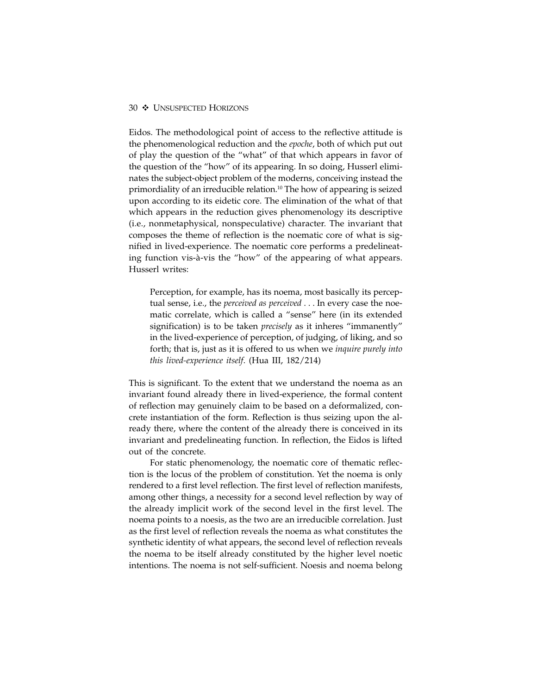Eidos. The methodological point of access to the reflective attitude is the phenomenological reduction and the *epoche*, both of which put out of play the question of the "what" of that which appears in favor of the question of the "how" of its appearing. In so doing, Husserl eliminates the subject-object problem of the moderns, conceiving instead the primordiality of an irreducible relation.<sup>10</sup> The how of appearing is seized upon according to its eidetic core. The elimination of the what of that which appears in the reduction gives phenomenology its descriptive (i.e., nonmetaphysical, nonspeculative) character. The invariant that composes the theme of reflection is the noematic core of what is signified in lived-experience. The noematic core performs a predelineating function vis-à-vis the "how" of the appearing of what appears. Husserl writes:

Perception, for example, has its noema, most basically its perceptual sense, i.e., the *perceived as perceived* . . . In every case the noematic correlate, which is called a "sense" here (in its extended signification) is to be taken *precisely* as it inheres "immanently" in the lived-experience of perception, of judging, of liking, and so forth; that is, just as it is offered to us when we *inquire purely into this lived-experience itself*. (Hua III, 182/214)

This is significant. To the extent that we understand the noema as an invariant found already there in lived-experience, the formal content of reflection may genuinely claim to be based on a deformalized, concrete instantiation of the form. Reflection is thus seizing upon the already there, where the content of the already there is conceived in its invariant and predelineating function. In reflection, the Eidos is lifted out of the concrete.

For static phenomenology, the noematic core of thematic reflection is the locus of the problem of constitution. Yet the noema is only rendered to a first level reflection. The first level of reflection manifests, among other things, a necessity for a second level reflection by way of the already implicit work of the second level in the first level. The noema points to a noesis, as the two are an irreducible correlation. Just as the first level of reflection reveals the noema as what constitutes the synthetic identity of what appears, the second level of reflection reveals the noema to be itself already constituted by the higher level noetic intentions. The noema is not self-sufficient. Noesis and noema belong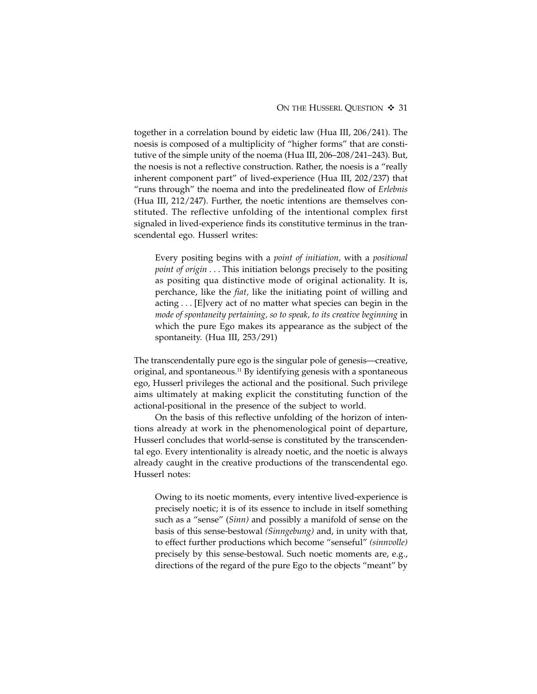together in a correlation bound by eidetic law (Hua III, 206/241). The noesis is composed of a multiplicity of "higher forms" that are constitutive of the simple unity of the noema (Hua III, 206–208/241–243). But, the noesis is not a reflective construction. Rather, the noesis is a "really inherent component part" of lived-experience (Hua III, 202/237) that "runs through" the noema and into the predelineated flow of *Erlebnis* (Hua III, 212/247). Further, the noetic intentions are themselves constituted. The reflective unfolding of the intentional complex first signaled in lived-experience finds its constitutive terminus in the transcendental ego. Husserl writes:

Every positing begins with a *point of initiation,* with a *positional point of origin* . . . This initiation belongs precisely to the positing as positing qua distinctive mode of original actionality. It is, perchance, like the *fiat,* like the initiating point of willing and acting . . . [E]very act of no matter what species can begin in the *mode of spontaneity pertaining, so to speak, to its creative beginning* in which the pure Ego makes its appearance as the subject of the spontaneity. (Hua III, 253/291)

The transcendentally pure ego is the singular pole of genesis—creative, original, and spontaneous.<sup>11</sup> By identifying genesis with a spontaneous ego, Husserl privileges the actional and the positional. Such privilege aims ultimately at making explicit the constituting function of the actional-positional in the presence of the subject to world.

On the basis of this reflective unfolding of the horizon of intentions already at work in the phenomenological point of departure, Husserl concludes that world-sense is constituted by the transcendental ego. Every intentionality is already noetic, and the noetic is always already caught in the creative productions of the transcendental ego. Husserl notes:

Owing to its noetic moments, every intentive lived-experience is precisely noetic; it is of its essence to include in itself something such as a "sense" (*Sinn)* and possibly a manifold of sense on the basis of this sense-bestowal *(Sinngebung)* and, in unity with that, to effect further productions which become "senseful" *(sinnvolle)* precisely by this sense-bestowal. Such noetic moments are, e.g., directions of the regard of the pure Ego to the objects "meant" by